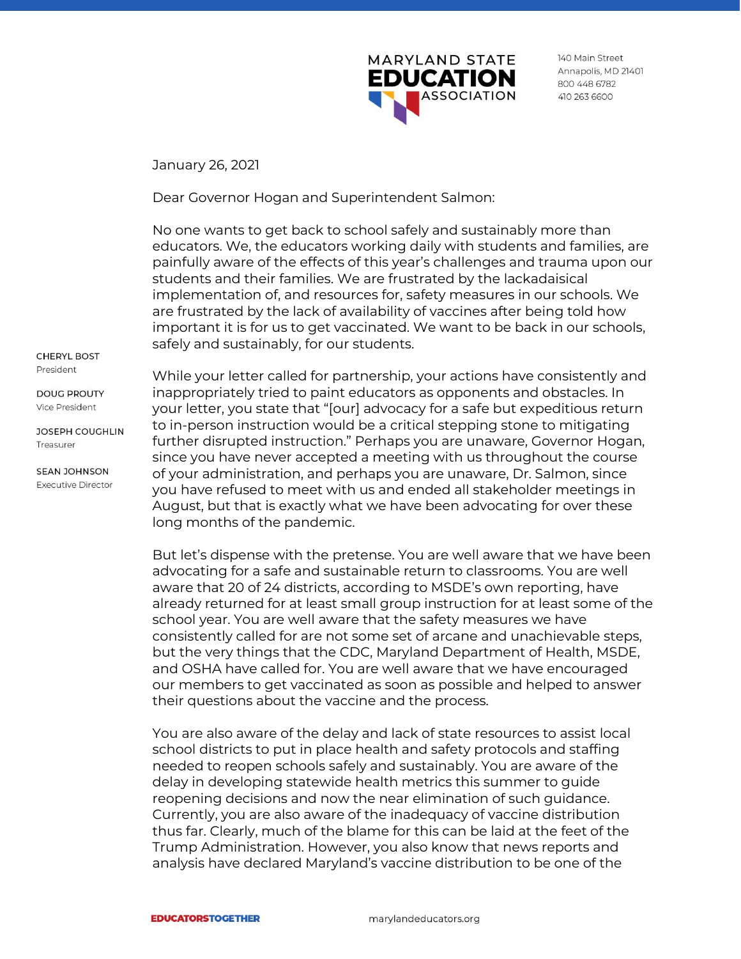

140 Main Street Annapolis, MD 21401 800 448 6782 410 263 6600

January 26, 2021

Dear Governor Hogan and Superintendent Salmon:

No one wants to get back to school safely and sustainably more than educators. We, the educators working daily with students and families, are painfully aware of the effects of this year's challenges and trauma upon our students and their families. We are frustrated by the lackadaisical implementation of, and resources for, safety measures in our schools. We are frustrated by the lack of availability of vaccines after being told how important it is for us to get vaccinated. We want to be back in our schools, safely and sustainably, for our students.

**CHERYL BOST** President

**DOUG PROUTY** Vice President

**JOSEPH COUGHLIN** Treasurer

**SEAN JOHNSON Executive Director** 

While your letter called for partnership, your actions have consistently and inappropriately tried to paint educators as opponents and obstacles. In your letter, you state that "[our] advocacy for a safe but expeditious return to in-person instruction would be a critical stepping stone to mitigating further disrupted instruction." Perhaps you are unaware, Governor Hogan, since you have never accepted a meeting with us throughout the course of your administration, and perhaps you are unaware, Dr. Salmon, since you have refused to meet with us and ended all stakeholder meetings in August, but that is exactly what we have been advocating for over these long months of the pandemic.

But let's dispense with the pretense. You are well aware that we have been advocating for a safe and sustainable return to classrooms. You are well aware that 20 of 24 districts, according to MSDE's own reporting, have already returned for at least small group instruction for at least some of the school year. You are well aware that the safety measures we have consistently called for are not some set of arcane and unachievable steps, but the very things that the CDC, Maryland Department of Health, MSDE, and OSHA have called for. You are well aware that we have encouraged our members to get vaccinated as soon as possible and helped to answer their questions about the vaccine and the process.

You are also aware of the delay and lack of state resources to assist local school districts to put in place health and safety protocols and staffing needed to reopen schools safely and sustainably. You are aware of the delay in developing statewide health metrics this summer to guide reopening decisions and now the near elimination of such guidance. Currently, you are also aware of the inadequacy of vaccine distribution thus far. Clearly, much of the blame for this can be laid at the feet of the Trump Administration. However, you also know that news reports and analysis have declared Maryland's vaccine distribution to be one of the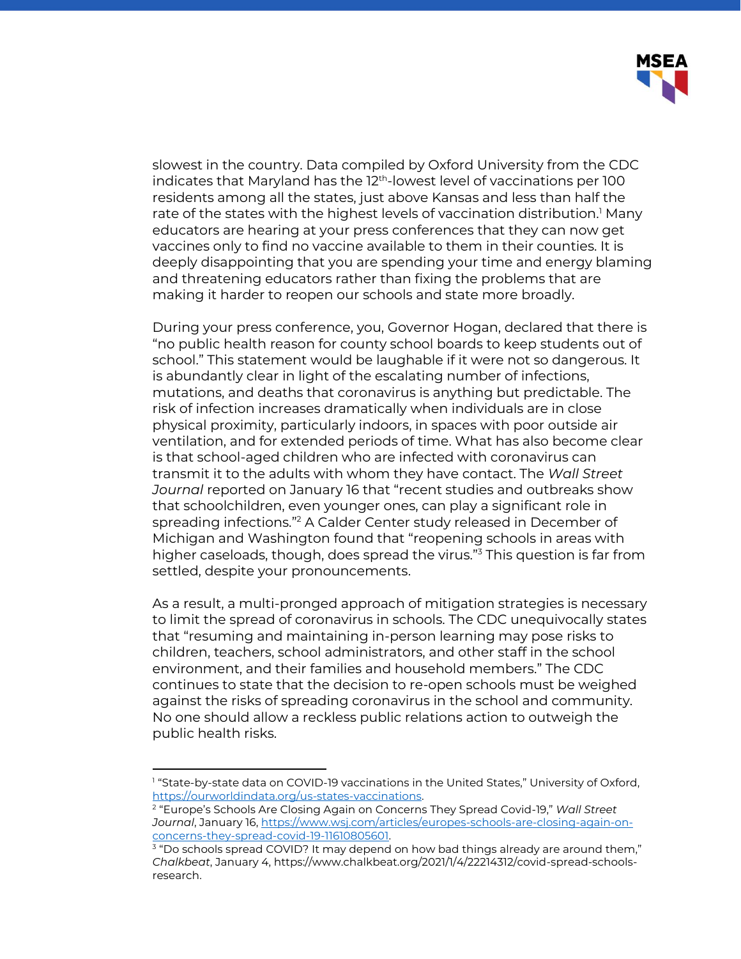

slowest in the country. Data compiled by Oxford University from the CDC indicates that Maryland has the 12th -lowest level of vaccinations per 100 residents among all the states, just above Kansas and less than half the rate of the states with the highest levels of vaccination distribution.<sup>1</sup> Many educators are hearing at your press conferences that they can now get vaccines only to find no vaccine available to them in their counties. It is deeply disappointing that you are spending your time and energy blaming and threatening educators rather than fixing the problems that are making it harder to reopen our schools and state more broadly.

During your press conference, you, Governor Hogan, declared that there is "no public health reason for county school boards to keep students out of school." This statement would be laughable if it were not so dangerous. It is abundantly clear in light of the escalating number of infections, mutations, and deaths that coronavirus is anything but predictable. The risk of infection increases dramatically when individuals are in close physical proximity, particularly indoors, in spaces with poor outside air ventilation, and for extended periods of time. What has also become clear is that school-aged children who are infected with coronavirus can transmit it to the adults with whom they have contact. The *Wall Street Journal* reported on January 16 that "recent studies and outbreaks show that schoolchildren, even younger ones, can play a significant role in spreading infections."<sup>2</sup> A Calder Center study released in December of Michigan and Washington found that "reopening schools in areas with higher caseloads, though, does spread the virus."<sup>3</sup> This question is far from settled, despite your pronouncements.

As a result, a multi-pronged approach of mitigation strategies is necessary to limit the spread of coronavirus in schools. The CDC unequivocally states that "resuming and maintaining in-person learning may pose risks to children, teachers, school administrators, and other staff in the school environment, and their families and household members." The CDC continues to state that the decision to re-open schools must be weighed against the risks of spreading coronavirus in the school and community. No one should allow a reckless public relations action to outweigh the public health risks.

<sup>1</sup> "State-by-state data on COVID-19 vaccinations in the United States," University of Oxford, [https://ourworldindata.org/us-states-vaccinations.](https://ourworldindata.org/us-states-vaccinations) 

<sup>2</sup> "Europe's Schools Are Closing Again on Concerns They Spread Covid-19," *Wall Street Journal*, January 16, [https://www.wsj.com/articles/europes-schools-are-closing-again-on](https://www.wsj.com/articles/europes-schools-are-closing-again-on-concerns-they-spread-covid-19-11610805601)[concerns-they-spread-covid-19-11610805601.](https://www.wsj.com/articles/europes-schools-are-closing-again-on-concerns-they-spread-covid-19-11610805601)

<sup>3</sup> "Do schools spread COVID? It may depend on how bad things already are around them," *Chalkbeat*, January 4, https://www.chalkbeat.org/2021/1/4/22214312/covid-spread-schoolsresearch.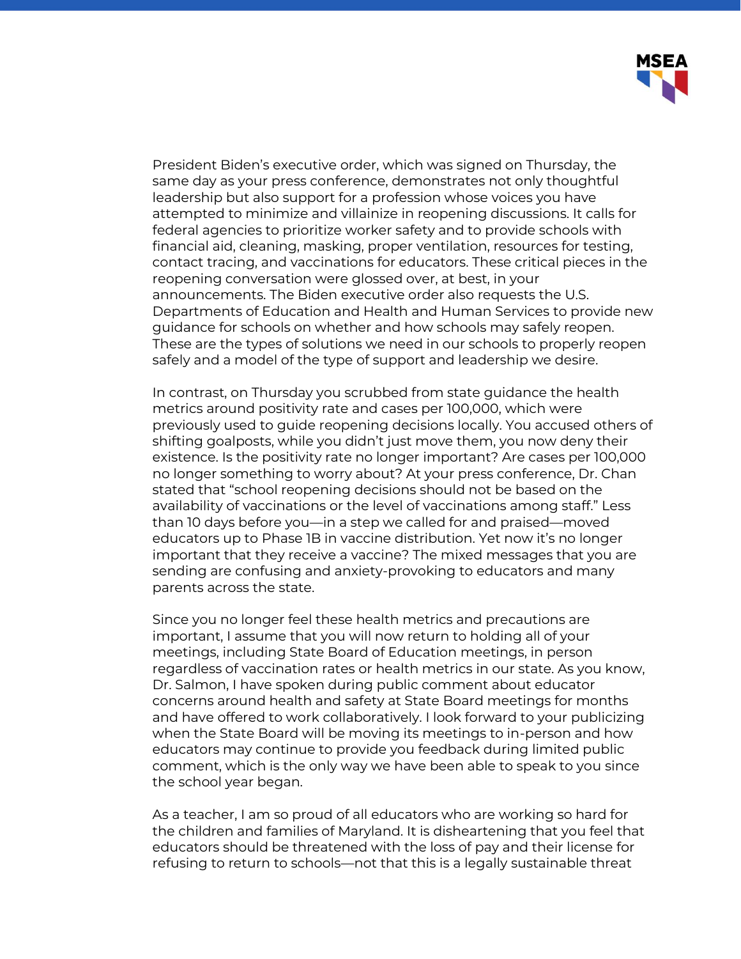

President Biden's executive order, which was signed on Thursday, the same day as your press conference, demonstrates not only thoughtful leadership but also support for a profession whose voices you have attempted to minimize and villainize in reopening discussions. It calls for federal agencies to prioritize worker safety and to provide schools with financial aid, cleaning, masking, proper ventilation, resources for testing, contact tracing, and vaccinations for educators. These critical pieces in the reopening conversation were glossed over, at best, in your announcements. The Biden executive order also requests the U.S. Departments of Education and Health and Human Services to provide new guidance for schools on whether and how schools may safely reopen. These are the types of solutions we need in our schools to properly reopen safely and a model of the type of support and leadership we desire.

In contrast, on Thursday you scrubbed from state guidance the health metrics around positivity rate and cases per 100,000, which were previously used to guide reopening decisions locally. You accused others of shifting goalposts, while you didn't just move them, you now deny their existence. Is the positivity rate no longer important? Are cases per 100,000 no longer something to worry about? At your press conference, Dr. Chan stated that "school reopening decisions should not be based on the availability of vaccinations or the level of vaccinations among staff." Less than 10 days before you—in a step we called for and praised—moved educators up to Phase 1B in vaccine distribution. Yet now it's no longer important that they receive a vaccine? The mixed messages that you are sending are confusing and anxiety-provoking to educators and many parents across the state.

Since you no longer feel these health metrics and precautions are important, I assume that you will now return to holding all of your meetings, including State Board of Education meetings, in person regardless of vaccination rates or health metrics in our state. As you know, Dr. Salmon, I have spoken during public comment about educator concerns around health and safety at State Board meetings for months and have offered to work collaboratively. I look forward to your publicizing when the State Board will be moving its meetings to in-person and how educators may continue to provide you feedback during limited public comment, which is the only way we have been able to speak to you since the school year began.

As a teacher, I am so proud of all educators who are working so hard for the children and families of Maryland. It is disheartening that you feel that educators should be threatened with the loss of pay and their license for refusing to return to schools—not that this is a legally sustainable threat